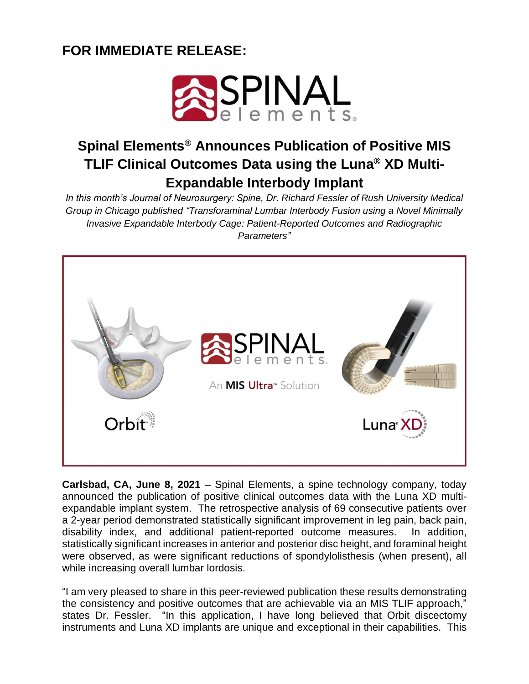## **FOR IMMEDIATE RELEASE:**



## **Spinal Elements® Announces Publication of Positive MIS TLIF Clinical Outcomes Data using the Luna® XD Multi-Expandable Interbody Implant**

*In this month's Journal of Neurosurgery: Spine, Dr. Richard Fessler of Rush University Medical Group in Chicago published "Transforaminal Lumbar Interbody Fusion using a Novel Minimally Invasive Expandable Interbody Cage: Patient-Reported Outcomes and Radiographic Parameters"*



**Carlsbad, CA, June 8, 2021** – Spinal Elements, a spine technology company, today announced the publication of positive clinical outcomes data with the Luna XD multiexpandable implant system. The retrospective analysis of 69 consecutive patients over a 2-year period demonstrated statistically significant improvement in leg pain, back pain, disability index, and additional patient-reported outcome measures. In addition, statistically significant increases in anterior and posterior disc height, and foraminal height were observed, as were significant reductions of spondylolisthesis (when present), all while increasing overall lumbar lordosis.

"I am very pleased to share in this peer-reviewed publication these results demonstrating the consistency and positive outcomes that are achievable via an MIS TLIF approach," states Dr. Fessler. "In this application, I have long believed that Orbit discectomy instruments and Luna XD implants are unique and exceptional in their capabilities. This